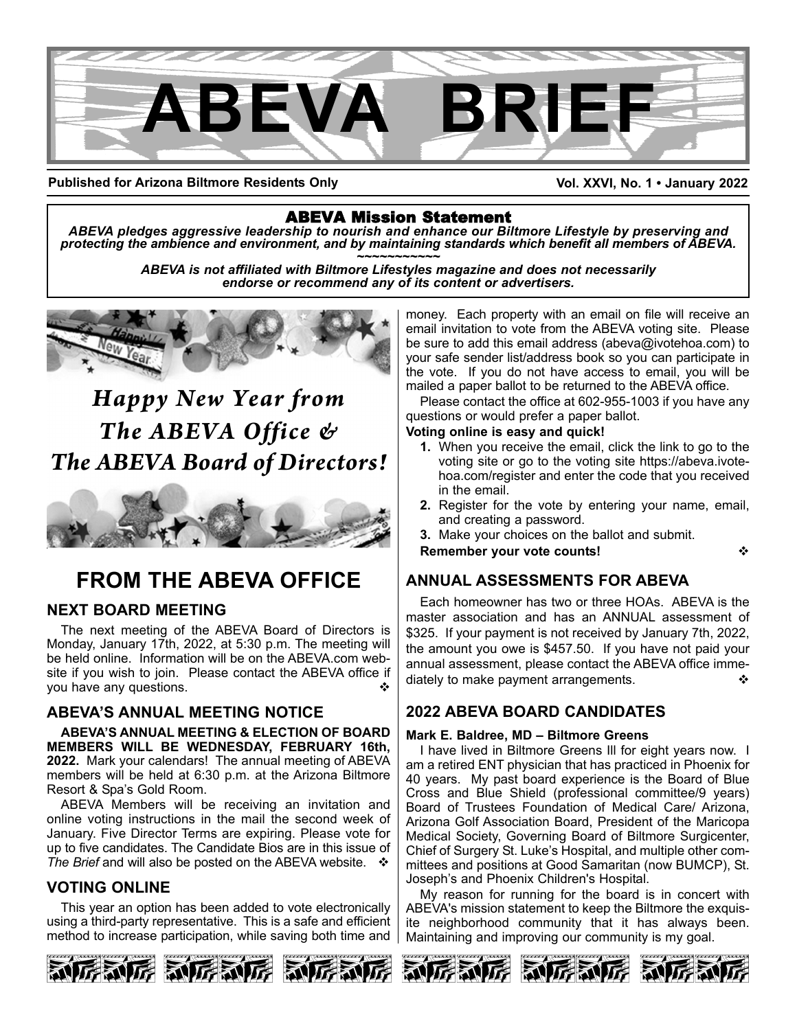

**Published for Arizona Biltmore Residents Only**

**Vol. XXVI, No. 1 • January 2022**

ABEVA Mission Statement *ABEVA pledges aggressive leadership to nourish and enhance our Biltmore Lifestyle by preserving and* protecting the ambience and environment, and by maintaining standards which benefit all members of ABEVA.<br>ABEVA is not affiliated with Biltmore Lifestyles magazine and does not necessarily

*endorse or recommend any of its content or advertisers.*



# *Happy New Year from The ABEVA Office & The ABEVA Board of Directors!*



# **FROM THE ABEVA OFFICE**

### **NEXT BOARD MEETING**

The next meeting of the ABEVA Board of Directors is Monday, January 17th, 2022, at 5:30 p.m. The meeting will be held online. Information will be on the ABEVA.com website if you wish to join. Please contact the ABEVA office if you have any questions.

### **ABEVA'S ANNUAL MEETING NOTICE**

**ABEVA'S ANNUAL MEETING & ELECTION OF BOARD MEMBERS WILL BE WEDNESDAY, FEBRUARY 16th, 2022.** Mark your calendars! The annual meeting of ABEVA members will be held at 6:30 p.m. at the Arizona Biltmore Resort & Spa's Gold Room.

ABEVA Members will be receiving an invitation and online voting instructions in the mail the second week of January. Five Director Terms are expiring. Please vote for up to five candidates. The Candidate Bios are in this issue of *The Brief* and will also be posted on the ABEVA website. ❖

### **VOTING ONLINE**

This year an option has been added to vote electronically using a third-party representative. This is a safe and efficient method to increase participation, while saving both time and

money. Each property with an email on file will receive an email invitation to vote from the ABEVA voting site. Please be sure to add this email address (abeva@ivotehoa.com) to your safe sender list/address book so you can participate in the vote. If you do not have access to email, you will be mailed a paper ballot to be returned to the ABEVA office.

Please contact the office at 602-955-1003 if you have any questions or would prefer a paper ballot.

#### **Voting online is easy and quick!**

- **1.** When you receive the email, click the link to go to the voting site or go to the voting site https://abeva.ivotehoa.com/register and enter the code that you received in the email.
- **2.** Register for the vote by entering your name, email, and creating a password.

**3.** Make your choices on the ballot and submit.

**Remember your vote counts!** v

### **ANNUAL ASSESSMENTS FOR ABEVA**

Each homeowner has two or three HOAs. ABEVA is the master association and has an ANNUAL assessment of \$325. If your payment is not received by January 7th, 2022, the amount you owe is \$457.50. If you have not paid your annual assessment, please contact the ABEVA office immediately to make payment arrangements.

### **2022 ABEVA BOARD CANDIDATES**

#### **Mark E. Baldree, MD – Biltmore Greens**

I have lived in Biltmore Greens Ill for eight years now. I am a retired ENT physician that has practiced in Phoenix for 40 years. My past board experience is the Board of Blue Cross and Blue Shield (professional committee/9 years) Board of Trustees Foundation of Medical Care/ Arizona, Arizona Golf Association Board, President of the Maricopa Medical Society, Governing Board of Biltmore Surgicenter, Chief of Surgery St. Luke's Hospital, and multiple other committees and positions at Good Samaritan (now BUMCP), St. Joseph's and Phoenix Children's Hospital.

My reason for running for the board is in concert with ABEVA's mission statement to keep the Biltmore the exquisite neighborhood community that it has always been. Maintaining and improving our community is my goal.

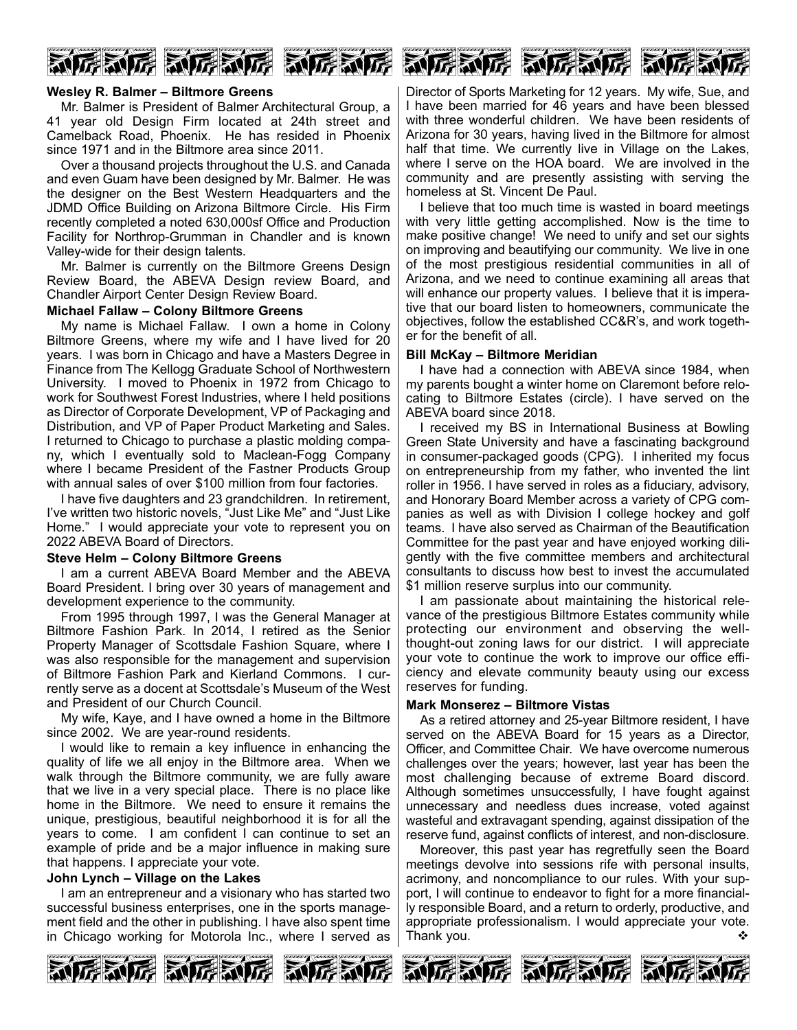

#### **Wesley R. Balmer – Biltmore Greens**

Mr. Balmer is President of Balmer Architectural Group, a 41 year old Design Firm located at 24th street and Camelback Road, Phoenix. He has resided in Phoenix since 1971 and in the Biltmore area since 2011.

Over a thousand projects throughout the U.S. and Canada and even Guam have been designed by Mr. Balmer. He was the designer on the Best Western Headquarters and the JDMD Office Building on Arizona Biltmore Circle. His Firm recently completed a noted 630,000sf Office and Production Facility for Northrop-Grumman in Chandler and is known Valley-wide for their design talents.

Mr. Balmer is currently on the Biltmore Greens Design Review Board, the ABEVA Design review Board, and Chandler Airport Center Design Review Board.

#### **Michael Fallaw – Colony Biltmore Greens**

My name is Michael Fallaw. I own a home in Colony Biltmore Greens, where my wife and I have lived for 20 years. I was born in Chicago and have a Masters Degree in Finance from The Kellogg Graduate School of Northwestern University. I moved to Phoenix in 1972 from Chicago to work for Southwest Forest Industries, where I held positions as Director of Corporate Development, VP of Packaging and Distribution, and VP of Paper Product Marketing and Sales. I returned to Chicago to purchase a plastic molding company, which I eventually sold to Maclean-Fogg Company where I became President of the Fastner Products Group with annual sales of over \$100 million from four factories.

I have five daughters and 23 grandchildren. In retirement, I've written two historic novels, "Just Like Me" and "Just Like Home." I would appreciate your vote to represent you on 2022 ABEVA Board of Directors.

#### **Steve Helm – Colony Biltmore Greens**

I am a current ABEVA Board Member and the ABEVA Board President. I bring over 30 years of management and development experience to the community.

From 1995 through 1997, I was the General Manager at Biltmore Fashion Park. In 2014, I retired as the Senior Property Manager of Scottsdale Fashion Square, where I was also responsible for the management and supervision of Biltmore Fashion Park and Kierland Commons. I currently serve as a docent at Scottsdale's Museum of the West and President of our Church Council.

My wife, Kaye, and I have owned a home in the Biltmore since 2002. We are year-round residents.

I would like to remain a key influence in enhancing the quality of life we all enjoy in the Biltmore area. When we walk through the Biltmore community, we are fully aware that we live in a very special place. There is no place like home in the Biltmore. We need to ensure it remains the unique, prestigious, beautiful neighborhood it is for all the years to come. I am confident I can continue to set an example of pride and be a major influence in making sure that happens. I appreciate your vote.

#### **John Lynch – Village on the Lakes**

I am an entrepreneur and a visionary who has started two successful business enterprises, one in the sports management field and the other in publishing. I have also spent time in Chicago working for Motorola Inc., where I served as Director of Sports Marketing for 12 years. My wife, Sue, and I have been married for 46 years and have been blessed with three wonderful children. We have been residents of Arizona for 30 years, having lived in the Biltmore for almost half that time. We currently live in Village on the Lakes, where I serve on the HOA board. We are involved in the community and are presently assisting with serving the homeless at St. Vincent De Paul.

新房新房 新房新房 新房

I believe that too much time is wasted in board meetings with very little getting accomplished. Now is the time to make positive change! We need to unify and set our sights on improving and beautifying our community. We live in one of the most prestigious residential communities in all of Arizona, and we need to continue examining all areas that will enhance our property values. I believe that it is imperative that our board listen to homeowners, communicate the objectives, follow the established CC&R's, and work together for the benefit of all.

#### **Bill McKay – Biltmore Meridian**

I have had a connection with ABEVA since 1984, when my parents bought a winter home on Claremont before relocating to Biltmore Estates (circle). I have served on the ABEVA board since 2018.

I received my BS in International Business at Bowling Green State University and have a fascinating background in consumer-packaged goods (CPG). I inherited my focus on entrepreneurship from my father, who invented the lint roller in 1956. I have served in roles as a fiduciary, advisory, and Honorary Board Member across a variety of CPG companies as well as with Division I college hockey and golf teams. I have also served as Chairman of the Beautification Committee for the past year and have enjoyed working diligently with the five committee members and architectural consultants to discuss how best to invest the accumulated \$1 million reserve surplus into our community.

I am passionate about maintaining the historical relevance of the prestigious Biltmore Estates community while protecting our environment and observing the wellthought-out zoning laws for our district. I will appreciate your vote to continue the work to improve our office efficiency and elevate community beauty using our excess reserves for funding.

#### **Mark Monserez – Biltmore Vistas**

As a retired attorney and 25-year Biltmore resident, I have served on the ABEVA Board for 15 years as a Director, Officer, and Committee Chair. We have overcome numerous challenges over the years; however, last year has been the most challenging because of extreme Board discord. Although sometimes unsuccessfully, I have fought against unnecessary and needless dues increase, voted against wasteful and extravagant spending, against dissipation of the reserve fund, against conflicts of interest, and non-disclosure.

Moreover, this past year has regretfully seen the Board meetings devolve into sessions rife with personal insults, acrimony, and noncompliance to our rules. With your support, I will continue to endeavor to fight for a more financially responsible Board, and a return to orderly, productive, and appropriate professionalism. I would appreciate your vote. Thank you. v

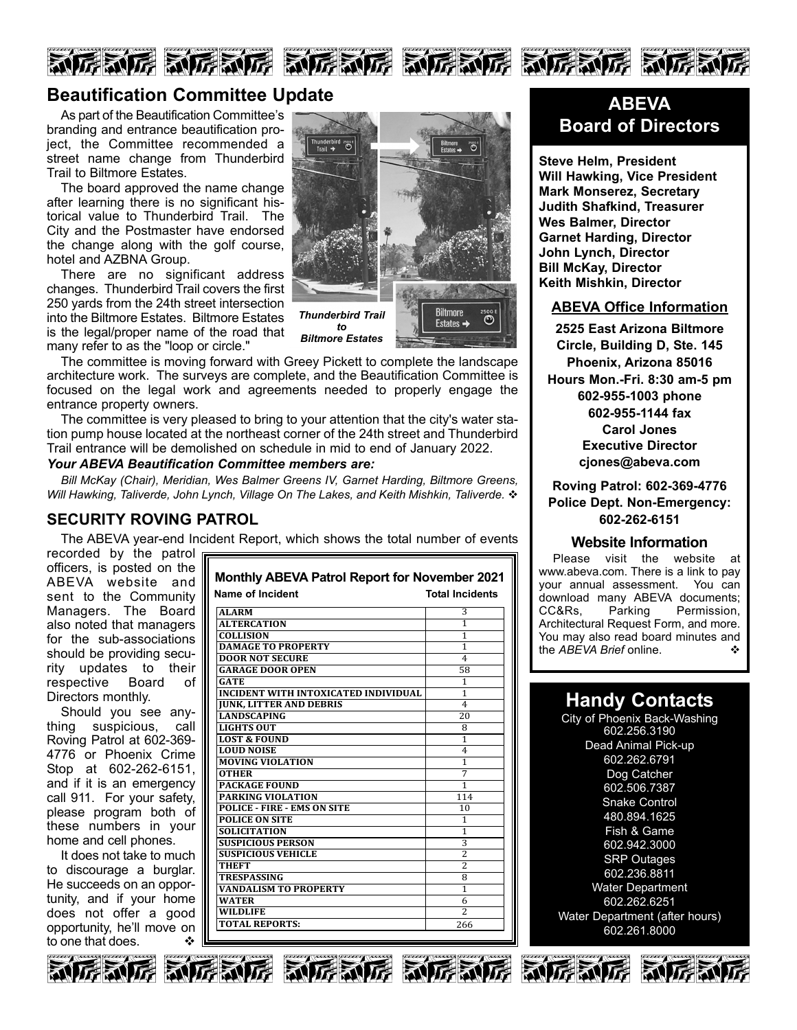



### **Beautification Committee Update**

As part of the Beautification Committee's branding and entrance beautification project, the Committee recommended a street name change from Thunderbird Trail to Biltmore Estates.

The board approved the name change after learning there is no significant historical value to Thunderbird Trail. The City and the Postmaster have endorsed the change along with the golf course, hotel and AZBNA Group.

There are no significant address changes. Thunderbird Trail covers the first 250 yards from the 24th street intersection into the Biltmore Estates. Biltmore Estates is the legal/proper name of the road that many refer to as the "loop or circle."



The committee is moving forward with Greey Pickett to complete the landscape architecture work. The surveys are complete, and the Beautification Committee is focused on the legal work and agreements needed to properly engage the entrance property owners.

The committee is very pleased to bring to your attention that the city's water station pump house located at the northeast corner of the 24th street and Thunderbird Trail entrance will be demolished on schedule in mid to end of January 2022.

#### *Your ABEVA Beautification Committee members are:*

*Bill McKay (Chair), Meridian, Wes Balmer Greens IV, Garnet Harding, Biltmore Greens, Will Hawking, Taliverde, John Lynch, Village On The Lakes, and Keith Mishkin, Taliverde.* v

#### **SECURITY ROVING PATROL**

The ABEVA year-end Incident Report, which shows the total number of events

recorded by the patrol officers, is posted on the ABEVA website and sent to the Community Managers. The Board also noted that managers for the sub-associations should be providing security updates to their respective Board of Directors monthly.

Should you see anything suspicious, call Roving Patrol at 602-369- 4776 or Phoenix Crime Stop at 602-262-6151, and if it is an emergency call 911. For your safety, please program both of these numbers in your home and cell phones.

It does not take to much to discourage a burglar. He succeeds on an opportunity, and if your home does not offer a good opportunity, he'll move on to one that does.

| Name of Incident                            | Total Incidents |
|---------------------------------------------|-----------------|
| <b>ALARM</b>                                | 3               |
| <b>ALTERCATION</b>                          | 1               |
| <b>COLLISION</b>                            | 1               |
| <b>DAMAGE TO PROPERTY</b>                   | 1               |
| <b>DOOR NOT SECURE</b>                      | 4               |
| <b>GARAGE DOOR OPEN</b>                     | 58              |
| <b>GATE</b>                                 | 1               |
| <b>INCIDENT WITH INTOXICATED INDIVIDUAL</b> | $\mathbf{1}$    |
| <b>IUNK. LITTER AND DEBRIS</b>              | $\overline{4}$  |
| <b>LANDSCAPING</b>                          | 20              |
| LIGHTS OUT                                  | 8               |
| <b>LOST &amp; FOUND</b>                     | 1               |
| <b>LOUD NOISE</b>                           | $\overline{4}$  |
| <b>MOVING VIOLATION</b>                     | 1               |
| <b>OTHER</b>                                | 7               |
| <b>PACKAGE FOUND</b>                        | 1               |
| PARKING VIOLATION                           | 114             |
| <b>POLICE - FIRE - EMS ON SITE</b>          | 10              |
| <b>POLICE ON SITE</b>                       | 1               |
| <b>SOLICITATION</b>                         | 1               |
| <b>SUSPICIOUS PERSON</b>                    | 3               |
| <b>SUSPICIOUS VEHICLE</b>                   | $\overline{2}$  |
| <b>THEFT</b>                                | $\overline{2}$  |
| <b>TRESPASSING</b>                          | 8               |
| <b>VANDALISM TO PROPERTY</b>                | 1               |
| <b>WATER</b>                                | 6               |
| <b>WILDLIFE</b>                             | $\overline{2}$  |
| <b>TOTAL REPORTS:</b>                       | 266             |
|                                             |                 |

**Monthly ABEVA Patrol Report for November 2021**

### **ABEVA Board of Directors**

**Steve Helm, President Will Hawking, Vice President Mark Monserez, Secretary Judith Shafkind, Treasurer Wes Balmer, Director Garnet Harding, Director John Lynch, Director Bill McKay, Director Keith Mishkin, Director**

#### **ABEVA Office Information**

**2525 East Arizona Biltmore Circle, Building D, Ste. 145 Phoenix, Arizona 85016 Hours Mon.-Fri. 8:30 am-5 pm 602-955-1003 phone 602-955-1144 fax Carol Jones Executive Director cjones@abeva.com**

**Roving Patrol: 602-369-4776 Police Dept. Non-Emergency: 602-262-6151**

#### **Website Information**

Please visit the website at www.abeva.com. There is a link to pay your annual assessment. You can download many ABEVA documents; CC&Rs, Parking Permission, Architectural Request Form, and more. You may also read board minutes and<br>the AREVA Brief online the *ABEVA Brief* online.

### **Handy Contacts**

City of Phoenix Back-Washing 602.256.3190 Dead Animal Pick-up 602.262.6791 Dog Catcher 602.506.7387 Snake Control 480.894.1625 Fish & Game 602.942.3000 SRP Outages 602.236.8811 Water Department 602.262.6251 Water Department (after hours) 602.261.8000